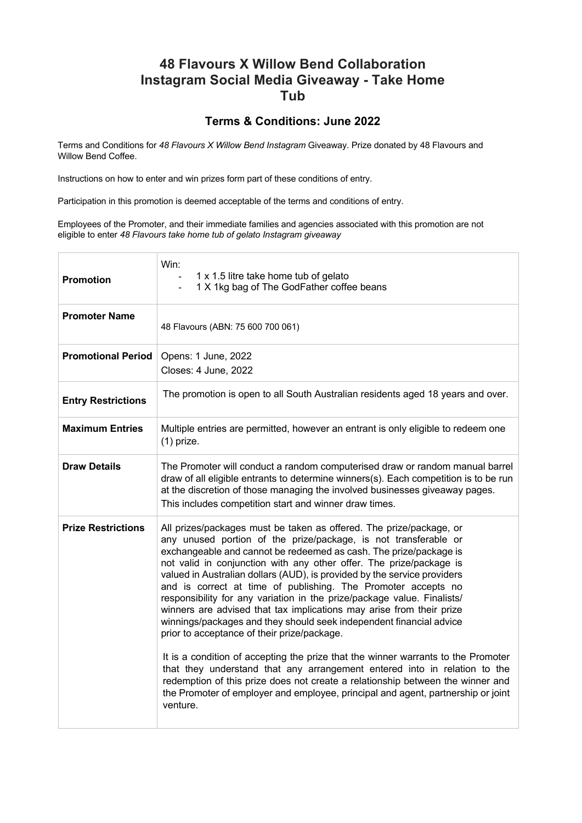## **48 Flavours X Willow Bend Collaboration Instagram Social Media Giveaway - Take Home Tub**

## **Terms & Conditions: June 2022**

Terms and Conditions for *48 Flavours X Willow Bend Instagram* Giveaway. Prize donated by 48 Flavours and Willow Bend Coffee.

Instructions on how to enter and win prizes form part of these conditions of entry.

Participation in this promotion is deemed acceptable of the terms and conditions of entry.

Employees of the Promoter, and their immediate families and agencies associated with this promotion are not eligible to enter *48 Flavours take home tub of gelato Instagram giveaway*

| <b>Promotion</b>          | Win:<br>1 x 1.5 litre take home tub of gelato<br>1 X 1kg bag of The GodFather coffee beans                                                                                                                                                                                                                                                                                                                                                                                                                                                                                                                                                                                                                                                                                                                                                                                                                                                                                                                                                                   |
|---------------------------|--------------------------------------------------------------------------------------------------------------------------------------------------------------------------------------------------------------------------------------------------------------------------------------------------------------------------------------------------------------------------------------------------------------------------------------------------------------------------------------------------------------------------------------------------------------------------------------------------------------------------------------------------------------------------------------------------------------------------------------------------------------------------------------------------------------------------------------------------------------------------------------------------------------------------------------------------------------------------------------------------------------------------------------------------------------|
| <b>Promoter Name</b>      | 48 Flavours (ABN: 75 600 700 061)                                                                                                                                                                                                                                                                                                                                                                                                                                                                                                                                                                                                                                                                                                                                                                                                                                                                                                                                                                                                                            |
| <b>Promotional Period</b> | Opens: 1 June, 2022<br>Closes: 4 June, 2022                                                                                                                                                                                                                                                                                                                                                                                                                                                                                                                                                                                                                                                                                                                                                                                                                                                                                                                                                                                                                  |
| <b>Entry Restrictions</b> | The promotion is open to all South Australian residents aged 18 years and over.                                                                                                                                                                                                                                                                                                                                                                                                                                                                                                                                                                                                                                                                                                                                                                                                                                                                                                                                                                              |
| <b>Maximum Entries</b>    | Multiple entries are permitted, however an entrant is only eligible to redeem one<br>$(1)$ prize.                                                                                                                                                                                                                                                                                                                                                                                                                                                                                                                                                                                                                                                                                                                                                                                                                                                                                                                                                            |
| <b>Draw Details</b>       | The Promoter will conduct a random computerised draw or random manual barrel<br>draw of all eligible entrants to determine winners(s). Each competition is to be run<br>at the discretion of those managing the involved businesses giveaway pages.<br>This includes competition start and winner draw times.                                                                                                                                                                                                                                                                                                                                                                                                                                                                                                                                                                                                                                                                                                                                                |
| <b>Prize Restrictions</b> | All prizes/packages must be taken as offered. The prize/package, or<br>any unused portion of the prize/package, is not transferable or<br>exchangeable and cannot be redeemed as cash. The prize/package is<br>not valid in conjunction with any other offer. The prize/package is<br>valued in Australian dollars (AUD), is provided by the service providers<br>and is correct at time of publishing. The Promoter accepts no<br>responsibility for any variation in the prize/package value. Finalists/<br>winners are advised that tax implications may arise from their prize<br>winnings/packages and they should seek independent financial advice<br>prior to acceptance of their prize/package.<br>It is a condition of accepting the prize that the winner warrants to the Promoter<br>that they understand that any arrangement entered into in relation to the<br>redemption of this prize does not create a relationship between the winner and<br>the Promoter of employer and employee, principal and agent, partnership or joint<br>venture. |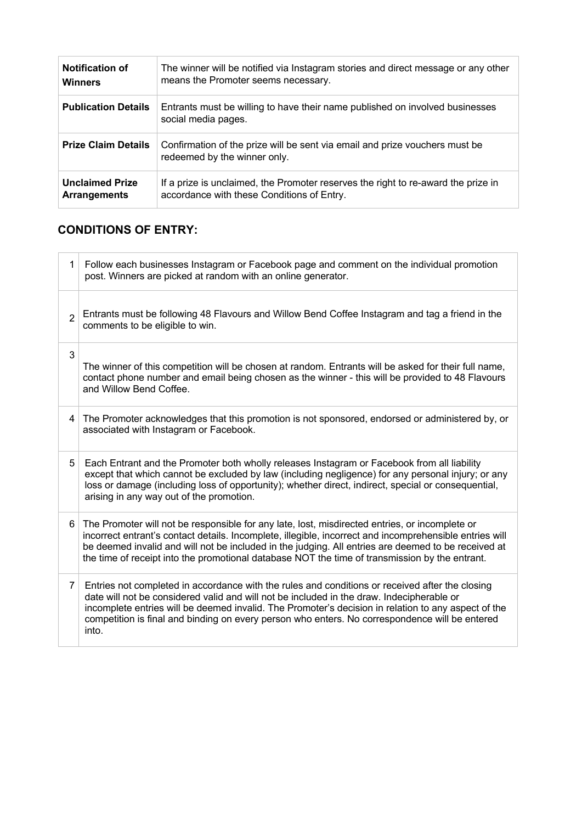| <b>Notification of</b>     | The winner will be notified via Instagram stories and direct message or any other                           |
|----------------------------|-------------------------------------------------------------------------------------------------------------|
| <b>Winners</b>             | means the Promoter seems necessary.                                                                         |
| <b>Publication Details</b> | Entrants must be willing to have their name published on involved businesses<br>social media pages.         |
| <b>Prize Claim Details</b> | Confirmation of the prize will be sent via email and prize vouchers must be<br>redeemed by the winner only. |
| <b>Unclaimed Prize</b>     | If a prize is unclaimed, the Promoter reserves the right to re-award the prize in                           |
| <b>Arrangements</b>        | accordance with these Conditions of Entry.                                                                  |

## **CONDITIONS OF ENTRY:**

| 1              | Follow each businesses Instagram or Facebook page and comment on the individual promotion<br>post. Winners are picked at random with an online generator.                                                                                                                                                                                                                                                          |
|----------------|--------------------------------------------------------------------------------------------------------------------------------------------------------------------------------------------------------------------------------------------------------------------------------------------------------------------------------------------------------------------------------------------------------------------|
| $\overline{2}$ | Entrants must be following 48 Flavours and Willow Bend Coffee Instagram and tag a friend in the<br>comments to be eligible to win.                                                                                                                                                                                                                                                                                 |
| 3              | The winner of this competition will be chosen at random. Entrants will be asked for their full name,<br>contact phone number and email being chosen as the winner - this will be provided to 48 Flavours<br>and Willow Bend Coffee.                                                                                                                                                                                |
| 4              | The Promoter acknowledges that this promotion is not sponsored, endorsed or administered by, or<br>associated with Instagram or Facebook.                                                                                                                                                                                                                                                                          |
| 5              | Each Entrant and the Promoter both wholly releases Instagram or Facebook from all liability<br>except that which cannot be excluded by law (including negligence) for any personal injury; or any<br>loss or damage (including loss of opportunity); whether direct, indirect, special or consequential,<br>arising in any way out of the promotion.                                                               |
| 6              | The Promoter will not be responsible for any late, lost, misdirected entries, or incomplete or<br>incorrect entrant's contact details. Incomplete, illegible, incorrect and incomprehensible entries will<br>be deemed invalid and will not be included in the judging. All entries are deemed to be received at<br>the time of receipt into the promotional database NOT the time of transmission by the entrant. |
| 7              | Entries not completed in accordance with the rules and conditions or received after the closing<br>date will not be considered valid and will not be included in the draw. Indecipherable or<br>incomplete entries will be deemed invalid. The Promoter's decision in relation to any aspect of the<br>competition is final and binding on every person who enters. No correspondence will be entered<br>into.     |